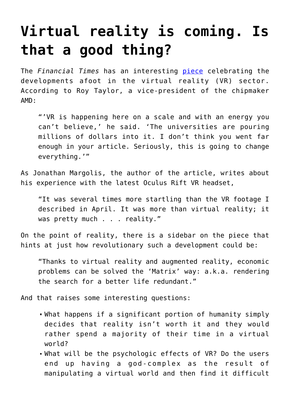## **[Virtual reality is coming. Is](https://intellectualtakeout.org/2015/12/virtual-reality-is-coming-is-that-a-good-thing/) [that a good thing?](https://intellectualtakeout.org/2015/12/virtual-reality-is-coming-is-that-a-good-thing/)**

The *Financial Times* has an interesting [piece](http://www.ft.com/intl/cms/s/0/b29a3106-9761-11e5-9228-87e603d47bdc.html#axzz3tCVfgEY3) celebrating the developments afoot in the virtual reality (VR) sector. According to Roy Taylor, a vice-president of the chipmaker AMD:

"'VR is happening here on a scale and with an energy you can't believe,' he said. 'The universities are pouring millions of dollars into it. I don't think you went far enough in your article. Seriously, this is going to change everything.'"

As Jonathan Margolis, the author of the article, writes about his experience with the latest Oculus Rift VR headset,

"It was several times more startling than the VR footage I described in April. It was more than virtual reality; it was pretty much . . . reality."

On the point of reality, there is a sidebar on the piece that hints at just how revolutionary such a development could be:

"Thanks to virtual reality and augmented reality, economic problems can be solved the 'Matrix' way: a.k.a. rendering the search for a better life redundant."

And that raises some interesting questions:

- What happens if a significant portion of humanity simply decides that reality isn't worth it and they would rather spend a majority of their time in a virtual world?
- What will be the psychologic effects of VR? Do the users end up having a god-complex as the result of manipulating a virtual world and then find it difficult